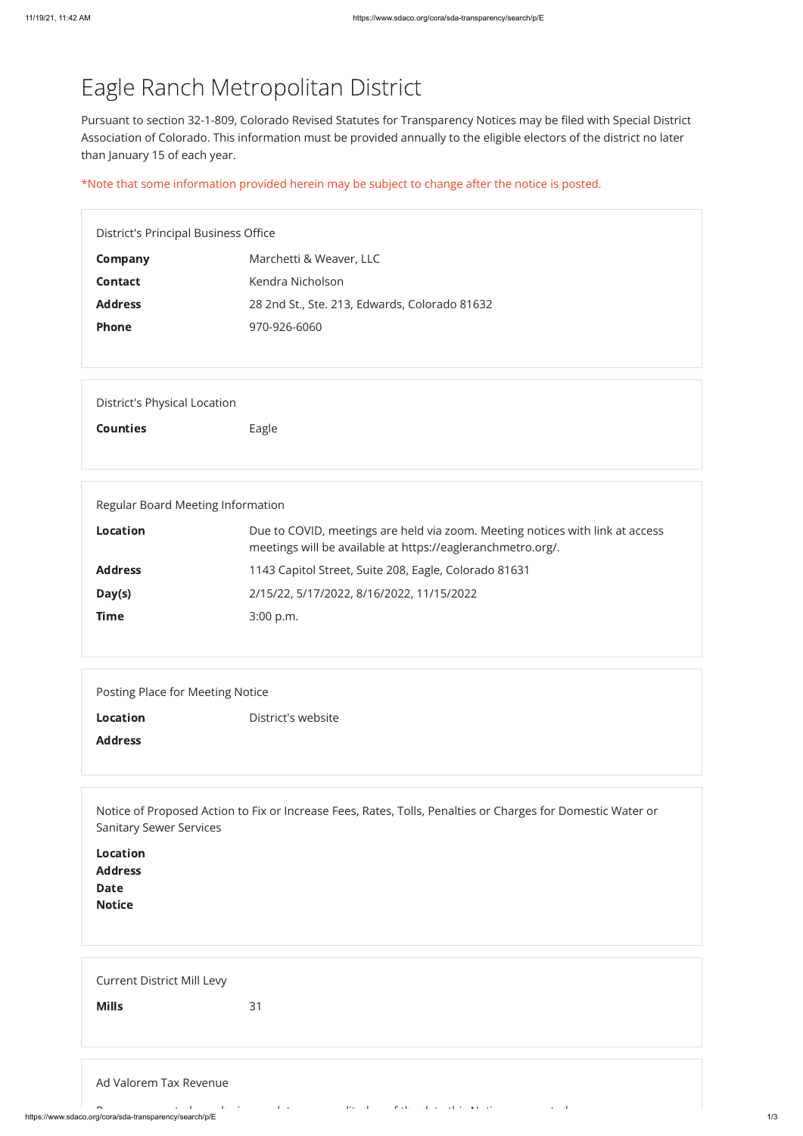## Eagle Ranch Metropolitan District

Pursuant to section 32-1-809, Colorado Revised Statutes for Transparency Notices may be filed with Special District Association of Colorado. This information must be provided annually to the eligible electors of the district no later than January 15 of each year.

\*Note that some information provided herein may be subject to change after the notice is posted.

District's Principal Business Office

| <b>Company</b> | Marchetti & Weaver, LLC                       |
|----------------|-----------------------------------------------|
| <b>Contact</b> | Kendra Nicholson                              |
| <b>Address</b> | 28 2nd St., Ste. 213, Edwards, Colorado 81632 |
| <b>Phone</b>   | 970-926-6060                                  |

| <b>Current District Mill Levy</b> |    |
|-----------------------------------|----|
| <b>Mills</b>                      | 31 |
|                                   |    |

| Ad Valorem Tax Revenue                                 |  |                                                                                                               |  |  |
|--------------------------------------------------------|--|---------------------------------------------------------------------------------------------------------------|--|--|
| $\sim$                                                 |  | the contract of the contract of the contract of the contract of the contract of the annual second contract of |  |  |
| https://www.sdaco.org/cora/sda-transparency/search/p/E |  |                                                                                                               |  |  |

| <b>District's Physical Location</b> |
|-------------------------------------|
|-------------------------------------|

Counties **Eagle** 

| Regular Board Meeting Information |                                                                                                                                              |  |  |
|-----------------------------------|----------------------------------------------------------------------------------------------------------------------------------------------|--|--|
| Location                          | Due to COVID, meetings are held via zoom. Meeting notices with link at access<br>meetings will be available at https://eagleranchmetro.org/. |  |  |
| <b>Address</b>                    | 1143 Capitol Street, Suite 208, Eagle, Colorado 81631                                                                                        |  |  |
| Day(s)                            | 2/15/22, 5/17/2022, 8/16/2022, 11/15/2022                                                                                                    |  |  |
| <b>Time</b>                       | $3:00$ p.m.                                                                                                                                  |  |  |

Location District's website

Address

Notice of Proposed Action to Fix or Increase Fees, Rates, Tolls, Penalties or Charges for Domestic Water or Sanitary Sewer Services

Location

| <b>Locution</b> |  |  |  |
|-----------------|--|--|--|
| <b>Address</b>  |  |  |  |
| Date<br>Notice  |  |  |  |
|                 |  |  |  |
|                 |  |  |  |
|                 |  |  |  |
|                 |  |  |  |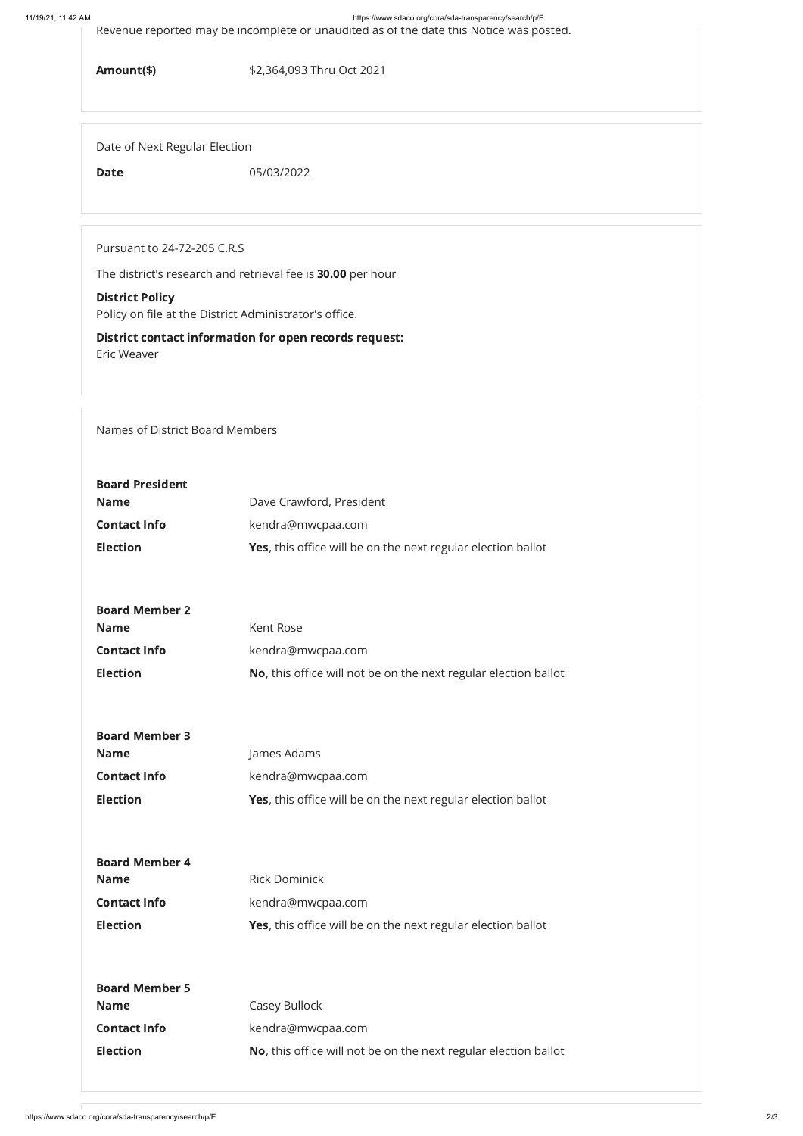11/19/21, 11:42 AM https://www.sdaco.org/cora/sda-transparency/search/p/E

Revenue reported may be incomplete or unaudited as of the date this Notice was posted.

Amount(\$) \$2,364,093 Thru Oct 2021

Date of Next Regular Election

Date 05/03/2022

Pursuant to 24-72-205 C.R.S

The district's research and retrieval fee is 30.00 per hour

## District Policy

Policy on file at the District Administrator's office.

District contact information for open records request: Eric Weaver

Names of District Board Members

| <b>Board President</b><br><b>Name</b><br><b>Contact Info</b><br><b>Election</b> | Dave Crawford, President<br>kendra@mwcpaa.com<br><b>Yes</b> , this office will be on the next regular election ballot |
|---------------------------------------------------------------------------------|-----------------------------------------------------------------------------------------------------------------------|
| <b>Board Member 2</b><br><b>Name</b><br><b>Contact Info</b><br><b>Election</b>  | Kent Rose<br>kendra@mwcpaa.com<br>No, this office will not be on the next regular election ballot                     |
| <b>Board Member 3</b><br><b>Name</b><br><b>Contact Info</b><br><b>Election</b>  | James Adams<br>kendra@mwcpaa.com<br><b>Yes</b> , this office will be on the next regular election ballot              |

| <b>Board Member 4</b> |                                                                     |
|-----------------------|---------------------------------------------------------------------|
| <b>Name</b>           | <b>Rick Dominick</b>                                                |
| <b>Contact Info</b>   | kendra@mwcpaa.com                                                   |
| <b>Election</b>       | <b>Yes,</b> this office will be on the next regular election ballot |
|                       |                                                                     |
|                       |                                                                     |
| <b>Board Member 5</b> |                                                                     |
| <b>Name</b>           | Casey Bullock                                                       |
| <b>Contact Info</b>   | kendra@mwcpaa.com                                                   |
| <b>Election</b>       | No, this office will not be on the next regular election ballot     |
|                       |                                                                     |
|                       |                                                                     |